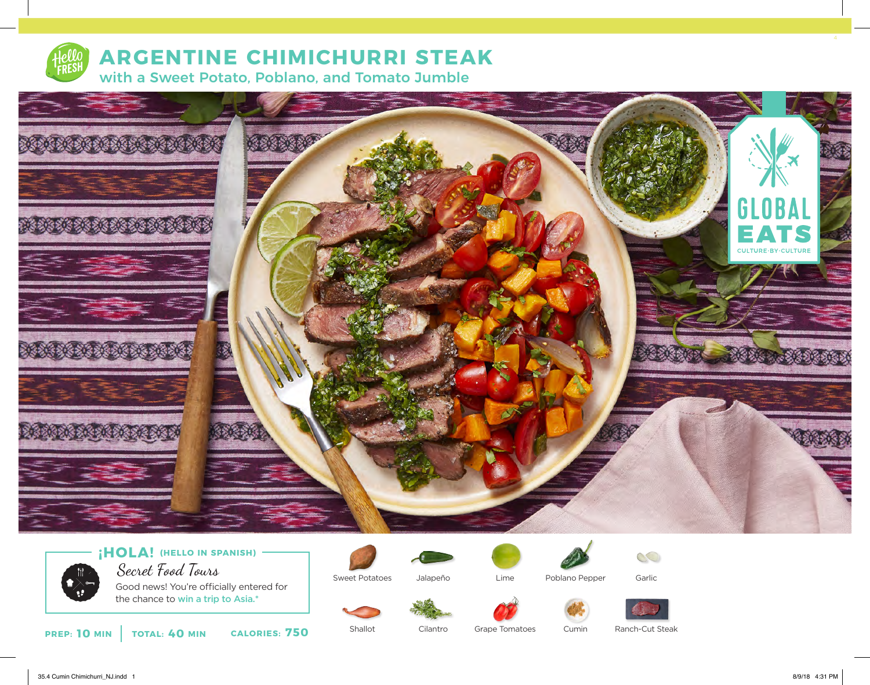

# **ARGENTINE CHIMICHURRI STEAK**

with a Sweet Potato, Poblano, and Tomato Jumble





Good news! You're officially entered for the chance to win a trip to Asia.\*

Sweet Potatoes





Garlic





Lime

Cumin



 $\mathbb{C}$ 

**10 MIN** | **TOTAL: 40 MIN CALORIES: 750** 

Shallot Cilantro Grape Tomatoes

Ranch-Cut Steak

35.4 Cumin Chimichurri\_NJ.indd 1 8/9/18 4:31 PM